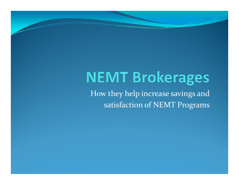# **NEMT Brokerages**

How they help increase savings and satisfaction of NEMT Programs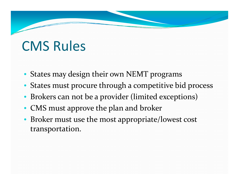## CMS Rules

- States may design their own NEMT programs
- States must procure through <sup>a</sup> competitive bid process
- •Brokers can not be <sup>a</sup> provider (limited exceptions)
- CMS must approve the plan and broker
- Broker must use the most appropriate/lowest cost transportation.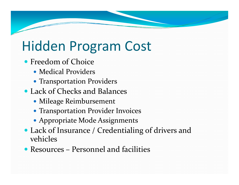## Hidden Program Cost

- Freedom of Choice
	- Medical Providers
	- Transportation Providers
- Lack of Checks and Balances
	- Mileage Reimbursement
	- Transportation Provider Invoices
	- Appropriate Mode Assignments
- Lack of Insurance / Credentialing of drivers and vehicles
- Resources Personnel and facilities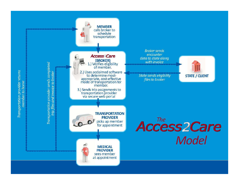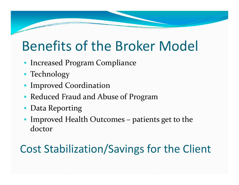## Benefits of the Broker Model

- Increased Program Compliance
- Technology
- Improved Coordination
- Reduced Fraud and Abuse of Program
- •Data Reporting
- Improved Health Outcomes patients ge<sup>t</sup> to the doctor

#### Cost Stabilization/Savings for the Client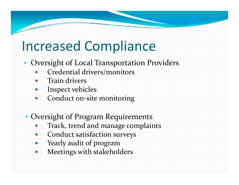# Increased Compliance

- Oversight of Local Transportation Providers
	- $\bullet$ Credential drivers/monitors
	- $\bullet$ • Train drivers
	- $\bullet$ Inspect vehicles
	- $\bullet$ Conduct on‐site monitoring
	- Oversight of Program Requirements
		- $\bullet$ Track, trend and manage complaints
		- $\bullet$ Conduct satisfaction surveys
		- $\bullet$ Yearly audit of program
		- $\bullet$ Meetings with stakeholders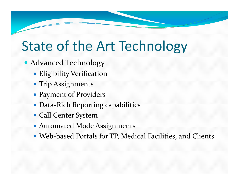## State of the Art Technology

- Advanced Technology
	- Eligibility Verification
	- Trip Assignments
	- Payment of Providers
	- Data‐Rich Reporting capabilities
	- Call Center System
	- Automated Mode Assignments
	- Web-based Portals for TP, Medical Facilities, and Clients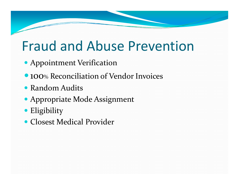## Fraud and Abuse Prevention

- Appointment Verification
- **100% Reconciliation of Vendor Invoices**
- Random Audits
- Appropriate Mode Assignment
- **•** Eligibility
- Closest Medical Provider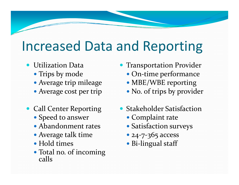#### Increased Data and Reporting

- Utilization Data
	- Trips by mode
	- Average trip mileage MBE/WBE reporti
	- Average cost per trip
- Call Center Reporting
	- Speed to answer
	- Abandonment rates •
	- Average talk time
	- Hold times
	- Total no. of incoming<br>calls
- $\bullet$  Transportation Provider
	- On-time performance
	- MBE/WBE reporting
	- No. of trips by provider
- Stakeholder Satisfaction
	- Complaint rate
	- Satisfaction surveys
	- 24-7-365 access
	- Bi-lingual staff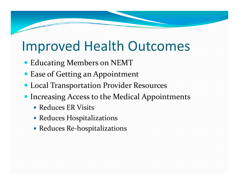## Improved Health Outcomes

- Educating Members on NEMT
- Ease of Getting an Appointment
- Local Transportation Provider Resources
- **Increasing Access to the Medical Appointments** 
	- Reduces ER Visits
	- Reduces Hospitalizations
	- Reduces Re-hospitalizations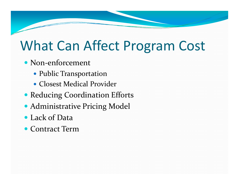## What Can Affect Program Cost

- Non-enforcement
	- Public Transportation
	- Closest Medical Provider
- Reducing Coordination Efforts
- Administrative Pricing Model
- Lack of Data
- Contract Term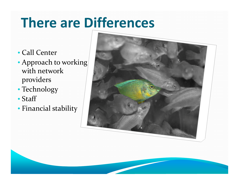# **There are Differences**

- Call Center
- Approach to working with network providers
- Technology
- Staff
- Financial stability

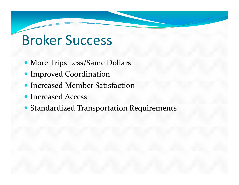## Broker Success

- More Trips Less/Same Dollars
- Improved Coordination
- Increased Member Satisfaction
- Increased Access
- Standardized Transportation Requirements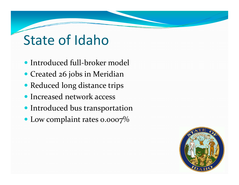## State of Idaho

- Introduced full-broker model
- Created 26 jobs in Meridian
- Reduced long distance trips
- Increased network access
- Introduced bus transportation
- Low complaint rates 0.0007%

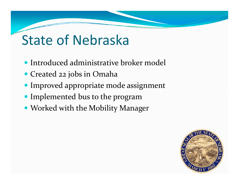# State of Nebraska

- Introduced administrative broker model
- Created <sup>22</sup> jobs in Omaha
- Improved appropriate mode assignment
- Implemented bus to the program
- Worked with the Mobility Manager

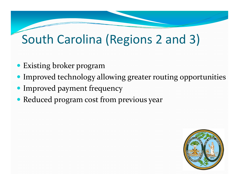#### South Carolina (Regions 2 and 3)

- Existing broker program
- Improved technology allowing greater routing opportunities
- Improved payment frequency
- Reduced program cost from previous year